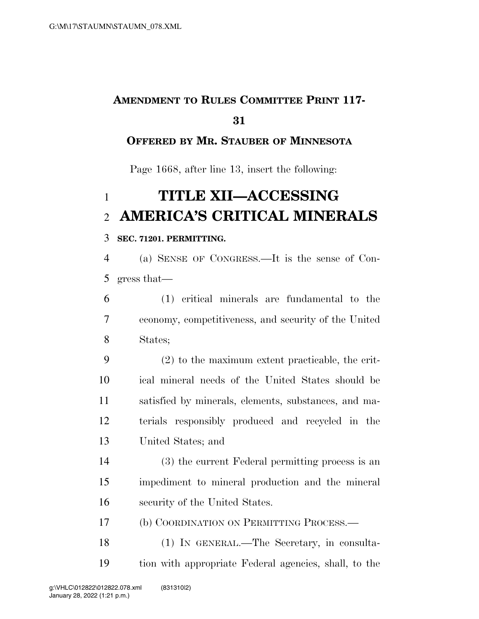## **AMENDMENT TO RULES COMMITTEE PRINT 117-**

### **OFFERED BY MR. STAUBER OF MINNESOTA**

Page 1668, after line 13, insert the following:

# **TITLE XII—ACCESSING AMERICA'S CRITICAL MINERALS**

#### **SEC. 71201. PERMITTING.**

 (a) SENSE OF CONGRESS.—It is the sense of Con-gress that—

 (1) critical minerals are fundamental to the economy, competitiveness, and security of the United States;

 (2) to the maximum extent practicable, the crit- ical mineral needs of the United States should be satisfied by minerals, elements, substances, and ma- terials responsibly produced and recycled in the United States; and

 (3) the current Federal permitting process is an impediment to mineral production and the mineral security of the United States.

(b) COORDINATION ON PERMITTING PROCESS.—

 (1) IN GENERAL.—The Secretary, in consulta-tion with appropriate Federal agencies, shall, to the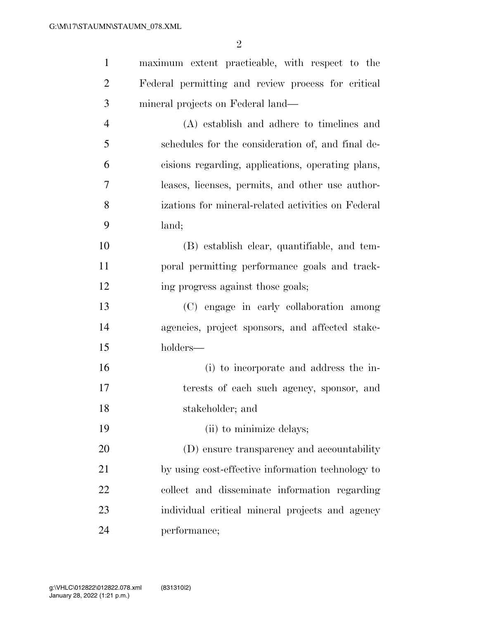| $\mathbf{1}$   | maximum extent practicable, with respect to the    |
|----------------|----------------------------------------------------|
| $\overline{2}$ | Federal permitting and review process for critical |
| 3              | mineral projects on Federal land—                  |
| $\overline{4}$ | (A) establish and adhere to timelines and          |
| 5              | schedules for the consideration of, and final de-  |
| 6              | cisions regarding, applications, operating plans,  |
| 7              | leases, licenses, permits, and other use author-   |
| 8              | izations for mineral-related activities on Federal |
| 9              | land;                                              |
| 10             | (B) establish clear, quantifiable, and tem-        |
| 11             | poral permitting performance goals and track-      |
| 12             | ing progress against those goals;                  |
| 13             | (C) engage in early collaboration among            |
| 14             | agencies, project sponsors, and affected stake-    |
| 15             | holders—                                           |
| 16             | (i) to incorporate and address the in-             |
| 17             | terests of each such agency, sponsor, and          |
| 18             | stakeholder; and                                   |
| 19             | (ii) to minimize delays;                           |
| 20             | (D) ensure transparency and accountability         |
| 21             | by using cost-effective information technology to  |
| 22             | collect and disseminate information regarding      |
| 23             | individual critical mineral projects and agency    |
| 24             | performance;                                       |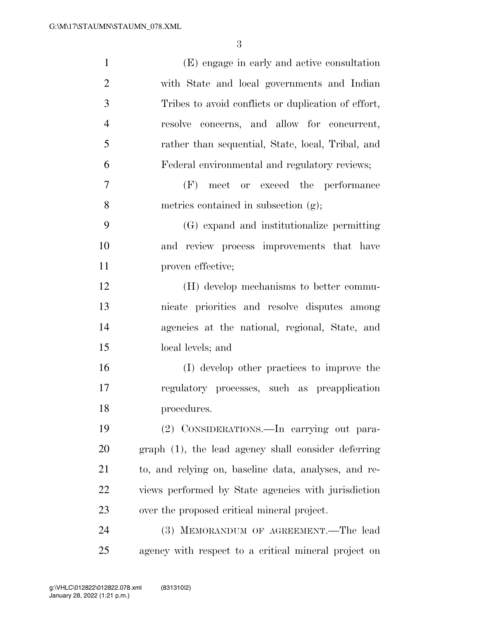| $\mathbf{1}$   | (E) engage in early and active consultation          |
|----------------|------------------------------------------------------|
| $\overline{2}$ | with State and local governments and Indian          |
| 3              | Tribes to avoid conflicts or duplication of effort,  |
| $\overline{4}$ | concerns, and allow for concurrent,<br>resolve       |
| 5              | rather than sequential, State, local, Tribal, and    |
| 6              | Federal environmental and regulatory reviews;        |
| 7              | (F) meet or exceed the performance                   |
| 8              | metrics contained in subsection (g);                 |
| 9              | (G) expand and institutionalize permitting           |
| 10             | and review process improvements that have            |
| 11             | proven effective;                                    |
| 12             | (H) develop mechanisms to better commu-              |
| 13             | nicate priorities and resolve disputes among         |
| 14             | agencies at the national, regional, State, and       |
| 15             | local levels; and                                    |
| 16             | (I) develop other practices to improve the           |
| 17             | regulatory processes, such as preapplication         |
| 18             | procedures.                                          |
| 19             | (2) CONSIDERATIONS.—In carrying out para-            |
| 20             | graph (1), the lead agency shall consider deferring  |
| 21             | to, and relying on, baseline data, analyses, and re- |
| 22             | views performed by State agencies with jurisdiction  |
| 23             | over the proposed critical mineral project.          |
| 24             | (3) MEMORANDUM OF AGREEMENT.—The lead                |
| 25             | agency with respect to a critical mineral project on |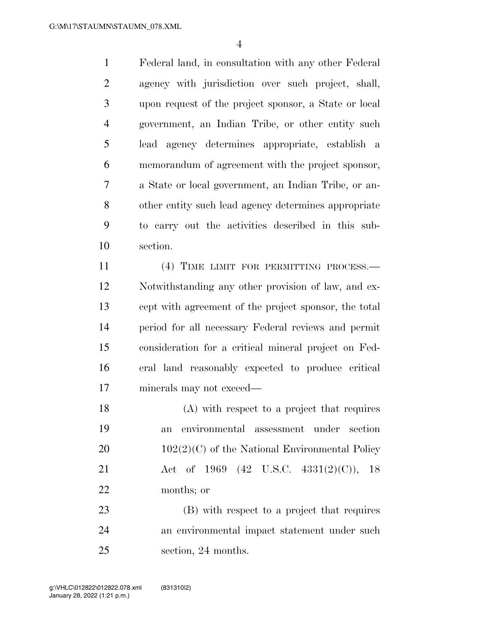Federal land, in consultation with any other Federal agency with jurisdiction over such project, shall, upon request of the project sponsor, a State or local government, an Indian Tribe, or other entity such lead agency determines appropriate, establish a memorandum of agreement with the project sponsor, a State or local government, an Indian Tribe, or an- other entity such lead agency determines appropriate to carry out the activities described in this sub-section.

11 (4) TIME LIMIT FOR PERMITTING PROCESS.— Notwithstanding any other provision of law, and ex- cept with agreement of the project sponsor, the total period for all necessary Federal reviews and permit consideration for a critical mineral project on Fed- eral land reasonably expected to produce critical minerals may not exceed—

 (A) with respect to a project that requires an environmental assessment under section  $102(2)(C)$  of the National Environmental Policy Act of 1969 (42 U.S.C. 4331(2)(C)), 18 months; or

 (B) with respect to a project that requires an environmental impact statement under such section, 24 months.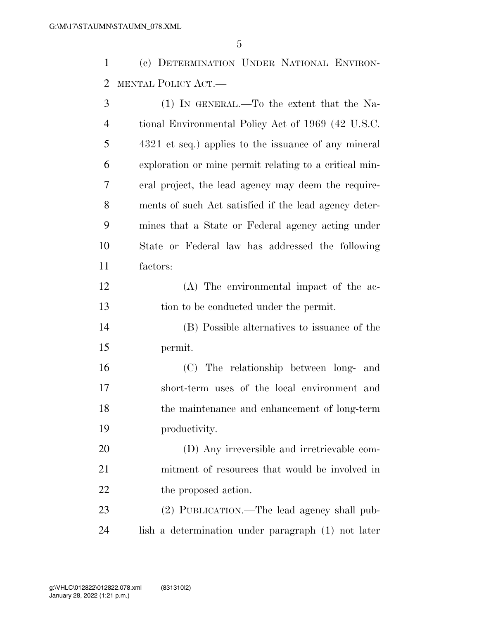(c) DETERMINATION UNDER NATIONAL ENVIRON-MENTAL POLICY ACT.—

| 3              | (1) IN GENERAL.—To the extent that the Na-             |
|----------------|--------------------------------------------------------|
| $\overline{4}$ | tional Environmental Policy Act of 1969 (42 U.S.C.     |
| 5              | 4321 et seq.) applies to the issuance of any mineral   |
| 6              | exploration or mine permit relating to a critical min- |
| 7              | eral project, the lead agency may deem the require-    |
| 8              | ments of such Act satisfied if the lead agency deter-  |
| 9              | mines that a State or Federal agency acting under      |
| 10             | State or Federal law has addressed the following       |
| 11             | factors:                                               |
| 12             | (A) The environmental impact of the ac-                |
| 13             | tion to be conducted under the permit.                 |
| 14             | (B) Possible alternatives to issuance of the           |
| 15             | permit.                                                |
| 16             | (C) The relationship between long- and                 |
| 17             | short-term uses of the local environment and           |
| 18             | the maintenance and enhancement of long-term           |
| 19             | productivity.                                          |
| 20             | (D) Any irreversible and irretrievable com-            |
| 21             | mitment of resources that would be involved in         |
| 22             | the proposed action.                                   |
| 23             | (2) PUBLICATION.—The lead agency shall pub-            |
| 24             | lish a determination under paragraph (1) not later     |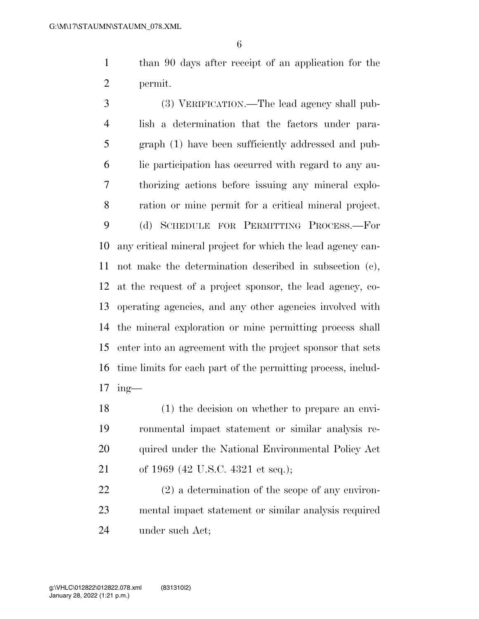than 90 days after receipt of an application for the permit.

 (3) VERIFICATION.—The lead agency shall pub- lish a determination that the factors under para- graph (1) have been sufficiently addressed and pub- lic participation has occurred with regard to any au- thorizing actions before issuing any mineral explo- ration or mine permit for a critical mineral project. (d) SCHEDULE FOR PERMITTING PROCESS.—For any critical mineral project for which the lead agency can- not make the determination described in subsection (c), at the request of a project sponsor, the lead agency, co- operating agencies, and any other agencies involved with the mineral exploration or mine permitting process shall enter into an agreement with the project sponsor that sets time limits for each part of the permitting process, includ-ing—

 (1) the decision on whether to prepare an envi- ronmental impact statement or similar analysis re-20 quired under the National Environmental Policy Act of 1969 (42 U.S.C. 4321 et seq.);

 (2) a determination of the scope of any environ- mental impact statement or similar analysis required under such Act;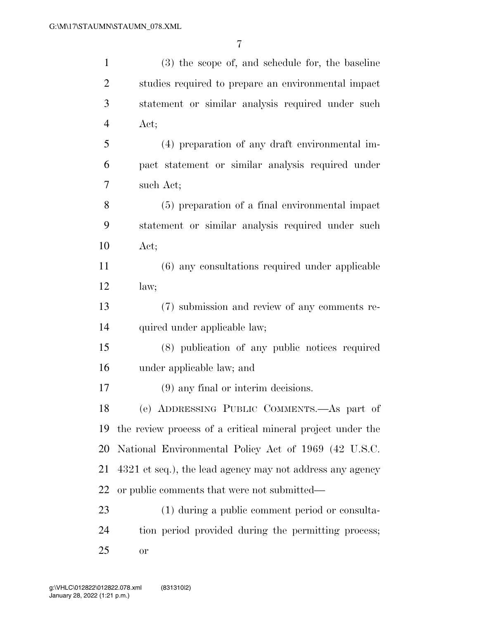| $\mathbf{1}$   | (3) the scope of, and schedule for, the baseline           |
|----------------|------------------------------------------------------------|
| $\overline{2}$ | studies required to prepare an environmental impact        |
| 3              | statement or similar analysis required under such          |
| $\overline{4}$ | Act;                                                       |
| 5              | (4) preparation of any draft environmental im-             |
| 6              | pact statement or similar analysis required under          |
| 7              | such Act;                                                  |
| 8              | (5) preparation of a final environmental impact            |
| 9              | statement or similar analysis required under such          |
| 10             | Act;                                                       |
| 11             | (6) any consultations required under applicable            |
| 12             | law;                                                       |
| 13             | (7) submission and review of any comments re-              |
| 14             | quired under applicable law;                               |
| 15             | (8) publication of any public notices required             |
| 16             | under applicable law; and                                  |
| 17             | $(9)$ any final or interim decisions.                      |
| 18             | (e) ADDRESSING PUBLIC COMMENTS.—As part of                 |
| 19             | the review process of a critical mineral project under the |
| 20             | National Environmental Policy Act of 1969 (42 U.S.C.       |
| 21             | 4321 et seq.), the lead agency may not address any agency  |
| 22             | or public comments that were not submitted—                |
| 23             | (1) during a public comment period or consulta-            |
| 24             | tion period provided during the permitting process;        |
| 25             | <b>or</b>                                                  |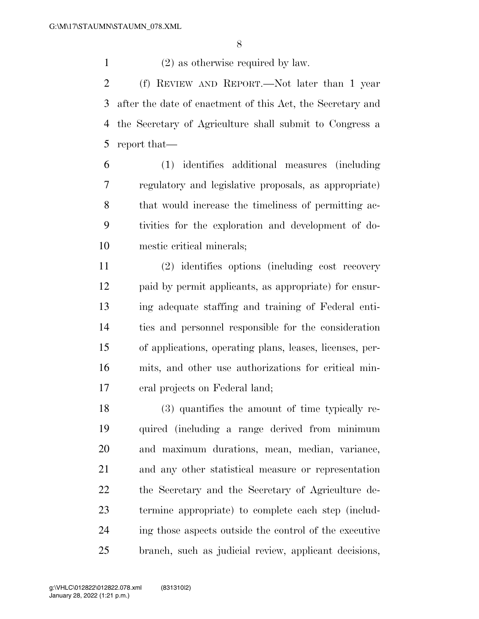(2) as otherwise required by law.

 (f) REVIEW AND REPORT.—Not later than 1 year after the date of enactment of this Act, the Secretary and the Secretary of Agriculture shall submit to Congress a report that—

 (1) identifies additional measures (including regulatory and legislative proposals, as appropriate) that would increase the timeliness of permitting ac- tivities for the exploration and development of do-mestic critical minerals;

 (2) identifies options (including cost recovery paid by permit applicants, as appropriate) for ensur- ing adequate staffing and training of Federal enti- ties and personnel responsible for the consideration of applications, operating plans, leases, licenses, per- mits, and other use authorizations for critical min-eral projects on Federal land;

 (3) quantifies the amount of time typically re- quired (including a range derived from minimum and maximum durations, mean, median, variance, and any other statistical measure or representation the Secretary and the Secretary of Agriculture de- termine appropriate) to complete each step (includ- ing those aspects outside the control of the executive branch, such as judicial review, applicant decisions,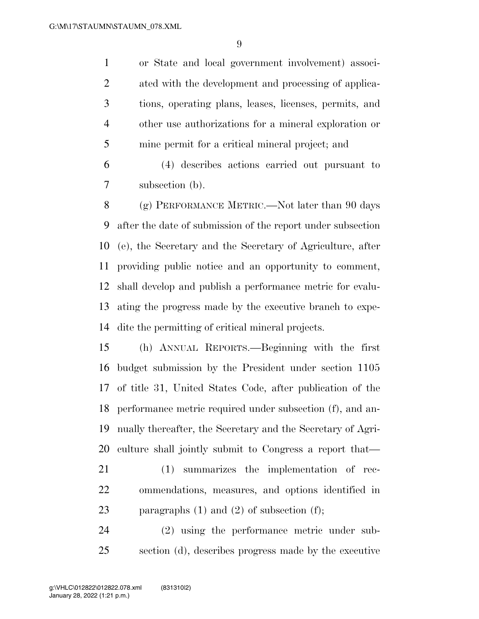or State and local government involvement) associ- ated with the development and processing of applica- tions, operating plans, leases, licenses, permits, and other use authorizations for a mineral exploration or mine permit for a critical mineral project; and

 (4) describes actions carried out pursuant to subsection (b).

8 (g) PERFORMANCE METRIC.—Not later than 90 days after the date of submission of the report under subsection (e), the Secretary and the Secretary of Agriculture, after providing public notice and an opportunity to comment, shall develop and publish a performance metric for evalu- ating the progress made by the executive branch to expe-dite the permitting of critical mineral projects.

 (h) ANNUAL REPORTS.—Beginning with the first budget submission by the President under section 1105 of title 31, United States Code, after publication of the performance metric required under subsection (f), and an- nually thereafter, the Secretary and the Secretary of Agri-culture shall jointly submit to Congress a report that—

 (1) summarizes the implementation of rec- ommendations, measures, and options identified in 23 paragraphs  $(1)$  and  $(2)$  of subsection  $(f)$ ;

 (2) using the performance metric under sub-section (d), describes progress made by the executive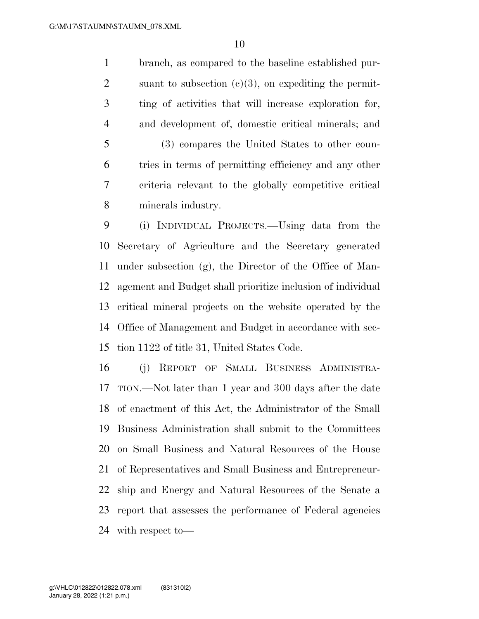branch, as compared to the baseline established pur-2 suant to subsection  $(c)(3)$ , on expediting the permit- ting of activities that will increase exploration for, and development of, domestic critical minerals; and (3) compares the United States to other coun- tries in terms of permitting efficiency and any other criteria relevant to the globally competitive critical minerals industry.

 (i) INDIVIDUAL PROJECTS.—Using data from the Secretary of Agriculture and the Secretary generated under subsection (g), the Director of the Office of Man- agement and Budget shall prioritize inclusion of individual critical mineral projects on the website operated by the Office of Management and Budget in accordance with sec-tion 1122 of title 31, United States Code.

 (j) REPORT OF SMALL BUSINESS ADMINISTRA- TION.—Not later than 1 year and 300 days after the date of enactment of this Act, the Administrator of the Small Business Administration shall submit to the Committees on Small Business and Natural Resources of the House of Representatives and Small Business and Entrepreneur- ship and Energy and Natural Resources of the Senate a report that assesses the performance of Federal agencies with respect to—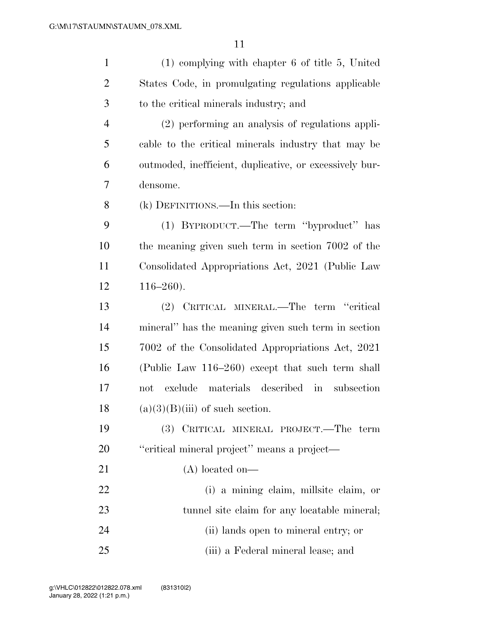| $\mathbf{1}$   | $(1)$ complying with chapter 6 of title 5, United       |
|----------------|---------------------------------------------------------|
| $\overline{2}$ | States Code, in promulgating regulations applicable     |
| 3              | to the critical minerals industry; and                  |
| $\overline{4}$ | (2) performing an analysis of regulations appli-        |
| 5              | cable to the critical minerals industry that may be     |
| 6              | outmoded, inefficient, duplicative, or excessively bur- |
| 7              | densome.                                                |
| 8              | (k) DEFINITIONS.—In this section:                       |
| 9              | (1) BYPRODUCT.—The term "byproduct" has                 |
| 10             | the meaning given such term in section 7002 of the      |
| 11             | Consolidated Appropriations Act, 2021 (Public Law       |
| 12             | $116 - 260$ .                                           |
| 13             | (2) CRITICAL MINERAL.—The term "critical                |
| 14             | mineral" has the meaning given such term in section     |
| 15             | 7002 of the Consolidated Appropriations Act, 2021       |
| 16             | (Public Law 116–260) except that such term shall        |
| 17             | materials described in<br>exclude<br>subsection<br>not  |
| 18             | $(a)(3)(B)(iii)$ of such section.                       |
| 19             | CRITICAL MINERAL PROJECT.—The term<br><b>(3)</b>        |
| 20             | "critical mineral project" means a project—             |
| 21             | $(A)$ located on—                                       |
| 22             | (i) a mining claim, millsite claim, or                  |
| 23             | tunnel site claim for any locatable mineral;            |
| 24             | (ii) lands open to mineral entry; or                    |
| 25             | (iii) a Federal mineral lease; and                      |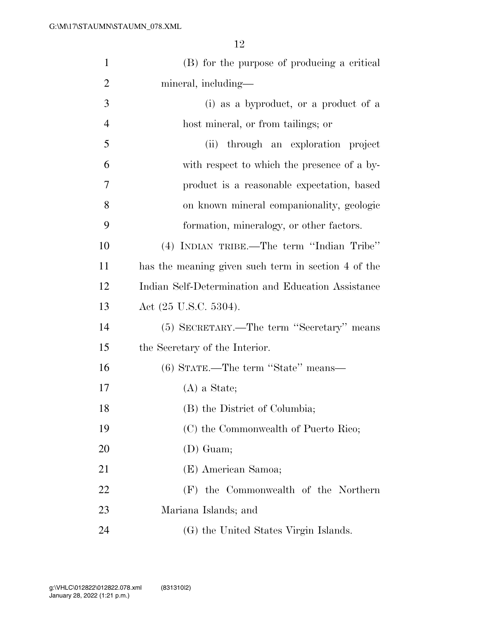| $\mathbf{1}$   | (B) for the purpose of producing a critical         |
|----------------|-----------------------------------------------------|
| $\overline{2}$ | mineral, including—                                 |
| 3              | (i) as a byproduct, or a product of a               |
| $\overline{4}$ | host mineral, or from tailings; or                  |
| 5              | through an exploration project<br>(ii)              |
| 6              | with respect to which the presence of a by-         |
| 7              | product is a reasonable expectation, based          |
| 8              | on known mineral companionality, geologic           |
| 9              | formation, mineralogy, or other factors.            |
| 10             | (4) INDIAN TRIBE.—The term "Indian Tribe"           |
| 11             | has the meaning given such term in section 4 of the |
| 12             | Indian Self-Determination and Education Assistance  |
| 13             | Act $(25 \text{ U.S.C. } 5304)$ .                   |
| 14             | (5) SECRETARY.—The term "Secretary" means           |
| 15             | the Secretary of the Interior.                      |
| 16             | (6) STATE.—The term "State" means—                  |
| 17             | $(A)$ a State;                                      |
| 18             | (B) the District of Columbia;                       |
| 19             | (C) the Commonwealth of Puerto Rico;                |
| 20             | (D) Guam;                                           |
| 21             | (E) American Samoa;                                 |
| 22             | (F) the Commonwealth of the Northern                |
| 23             | Mariana Islands; and                                |
| 24             | (G) the United States Virgin Islands.               |